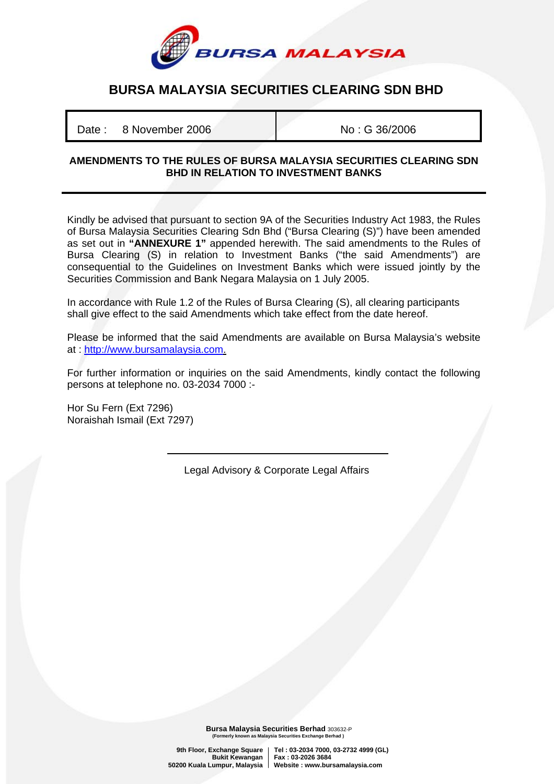

## **BURSA MALAYSIA SECURITIES CLEARING SDN BHD**

Date : 8 November 2006 No : G 36/2006

## **AMENDMENTS TO THE RULES OF BURSA MALAYSIA SECURITIES CLEARING SDN BHD IN RELATION TO INVESTMENT BANKS**

Kindly be advised that pursuant to section 9A of the Securities Industry Act 1983, the Rules of Bursa Malaysia Securities Clearing Sdn Bhd ("Bursa Clearing (S)") have been amended as set out in **"ANNEXURE 1"** appended herewith. The said amendments to the Rules of Bursa Clearing (S) in relation to Investment Banks ("the said Amendments") are consequential to the Guidelines on Investment Banks which were issued jointly by the Securities Commission and Bank Negara Malaysia on 1 July 2005.

In accordance with Rule 1.2 of the Rules of Bursa Clearing (S), all clearing participants shall give effect to the said Amendments which take effect from the date hereof.

Please be informed that the said Amendments are available on Bursa Malaysia's website at : [http://www.bursamalaysia.com.](http://www.bursamalaysia.com/)

For further information or inquiries on the said Amendments, kindly contact the following persons at telephone no. 03-2034 7000 :-

Hor Su Fern (Ext 7296) Noraishah Ismail (Ext 7297)

Legal Advisory & Corporate Legal Affairs

**Bursa Malaysia Securities Berhad** 303632-P<br>(Formerly known as Malaysia Securities Exchange Berhad) <sub>.</sub><br>n as Malaysia Securities Exchange Berhad )

**9th Floor, Exchange Square Tel : 03-2034 7000, 03-2732 4999 (GL) Bukit Kewangan Fax : 03-2026 3684 50200 Kuala Lumpur, Malaysia Website : www.bursamalaysia.com**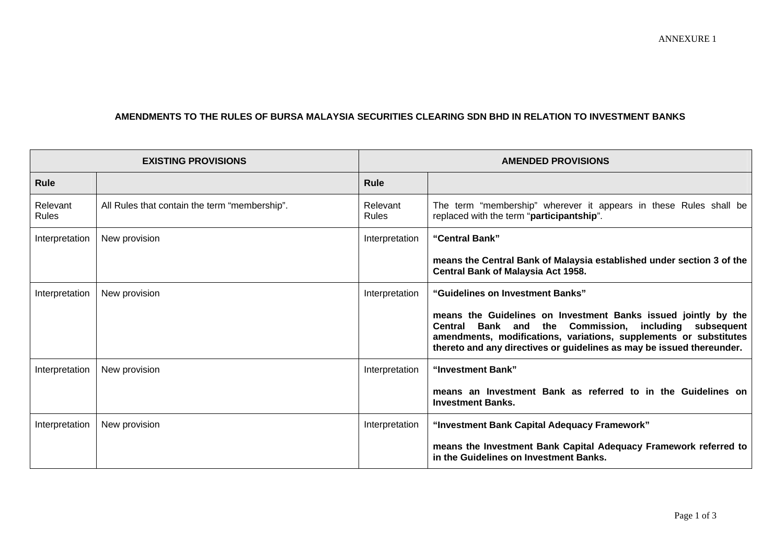## **AMENDMENTS TO THE RULES OF BURSA MALAYSIA SECURITIES CLEARING SDN BHD IN RELATION TO INVESTMENT BANKS**

| <b>EXISTING PROVISIONS</b> |                                               | <b>AMENDED PROVISIONS</b> |                                                                                                                                                                                                                                                                                 |
|----------------------------|-----------------------------------------------|---------------------------|---------------------------------------------------------------------------------------------------------------------------------------------------------------------------------------------------------------------------------------------------------------------------------|
| <b>Rule</b>                |                                               | <b>Rule</b>               |                                                                                                                                                                                                                                                                                 |
| Relevant<br><b>Rules</b>   | All Rules that contain the term "membership". | Relevant<br><b>Rules</b>  | The term "membership" wherever it appears in these Rules shall be<br>replaced with the term "participantship".                                                                                                                                                                  |
| Interpretation             | New provision                                 | Interpretation            | "Central Bank"                                                                                                                                                                                                                                                                  |
|                            |                                               |                           | means the Central Bank of Malaysia established under section 3 of the<br>Central Bank of Malaysia Act 1958.                                                                                                                                                                     |
| Interpretation             | New provision                                 | Interpretation            | "Guidelines on Investment Banks"                                                                                                                                                                                                                                                |
|                            |                                               |                           | means the Guidelines on Investment Banks issued jointly by the<br>Bank and the Commission, including subsequent<br><b>Central</b><br>amendments, modifications, variations, supplements or substitutes<br>thereto and any directives or guidelines as may be issued thereunder. |
| Interpretation             | New provision                                 | Interpretation            | "Investment Bank"                                                                                                                                                                                                                                                               |
|                            |                                               |                           | means an Investment Bank as referred to in the Guidelines on<br><b>Investment Banks.</b>                                                                                                                                                                                        |
| Interpretation             | New provision                                 | Interpretation            | "Investment Bank Capital Adequacy Framework"                                                                                                                                                                                                                                    |
|                            |                                               |                           | means the Investment Bank Capital Adequacy Framework referred to<br>in the Guidelines on Investment Banks.                                                                                                                                                                      |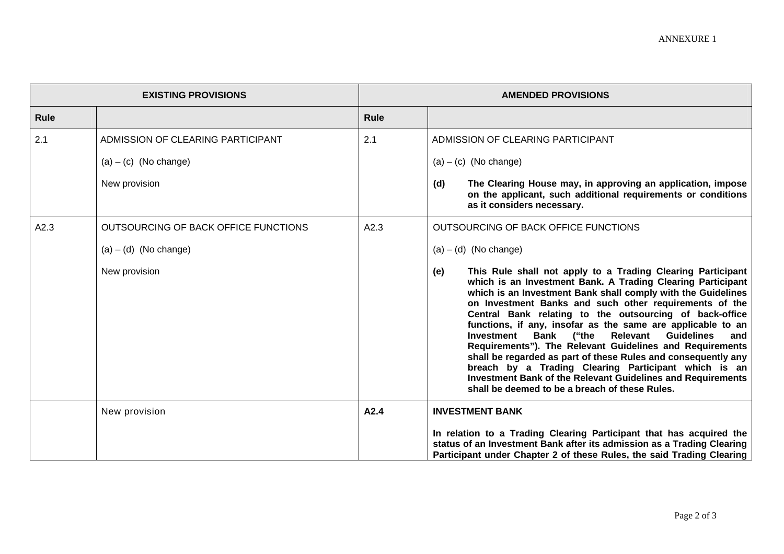| <b>EXISTING PROVISIONS</b> |                                      | <b>AMENDED PROVISIONS</b> |                                                                                                                                                                                                                                                                                                                                                                                                                                                                                                                                                                                                                                                                                                                                                                        |
|----------------------------|--------------------------------------|---------------------------|------------------------------------------------------------------------------------------------------------------------------------------------------------------------------------------------------------------------------------------------------------------------------------------------------------------------------------------------------------------------------------------------------------------------------------------------------------------------------------------------------------------------------------------------------------------------------------------------------------------------------------------------------------------------------------------------------------------------------------------------------------------------|
| Rule                       |                                      | <b>Rule</b>               |                                                                                                                                                                                                                                                                                                                                                                                                                                                                                                                                                                                                                                                                                                                                                                        |
| 2.1                        | ADMISSION OF CLEARING PARTICIPANT    | 2.1                       | ADMISSION OF CLEARING PARTICIPANT                                                                                                                                                                                                                                                                                                                                                                                                                                                                                                                                                                                                                                                                                                                                      |
|                            | $(a) - (c)$ (No change)              |                           | $(a) - (c)$ (No change)                                                                                                                                                                                                                                                                                                                                                                                                                                                                                                                                                                                                                                                                                                                                                |
|                            | New provision                        |                           | The Clearing House may, in approving an application, impose<br>(d)<br>on the applicant, such additional requirements or conditions<br>as it considers necessary.                                                                                                                                                                                                                                                                                                                                                                                                                                                                                                                                                                                                       |
| A2.3                       | OUTSOURCING OF BACK OFFICE FUNCTIONS | A2.3                      | OUTSOURCING OF BACK OFFICE FUNCTIONS                                                                                                                                                                                                                                                                                                                                                                                                                                                                                                                                                                                                                                                                                                                                   |
|                            | $(a) - (d)$ (No change)              |                           | $(a) - (d)$ (No change)                                                                                                                                                                                                                                                                                                                                                                                                                                                                                                                                                                                                                                                                                                                                                |
|                            | New provision                        |                           | This Rule shall not apply to a Trading Clearing Participant<br>(e)<br>which is an Investment Bank. A Trading Clearing Participant<br>which is an Investment Bank shall comply with the Guidelines<br>on Investment Banks and such other requirements of the<br>Central Bank relating to the outsourcing of back-office<br>functions, if any, insofar as the same are applicable to an<br>Relevant<br><b>Guidelines</b><br>Bank ("the<br>Investment<br>and<br>Requirements"). The Relevant Guidelines and Requirements<br>shall be regarded as part of these Rules and consequently any<br>breach by a Trading Clearing Participant which is an<br><b>Investment Bank of the Relevant Guidelines and Requirements</b><br>shall be deemed to be a breach of these Rules. |
|                            | New provision                        | A2.4                      | <b>INVESTMENT BANK</b>                                                                                                                                                                                                                                                                                                                                                                                                                                                                                                                                                                                                                                                                                                                                                 |
|                            |                                      |                           | In relation to a Trading Clearing Participant that has acquired the<br>status of an Investment Bank after its admission as a Trading Clearing<br>Participant under Chapter 2 of these Rules, the said Trading Clearing                                                                                                                                                                                                                                                                                                                                                                                                                                                                                                                                                 |